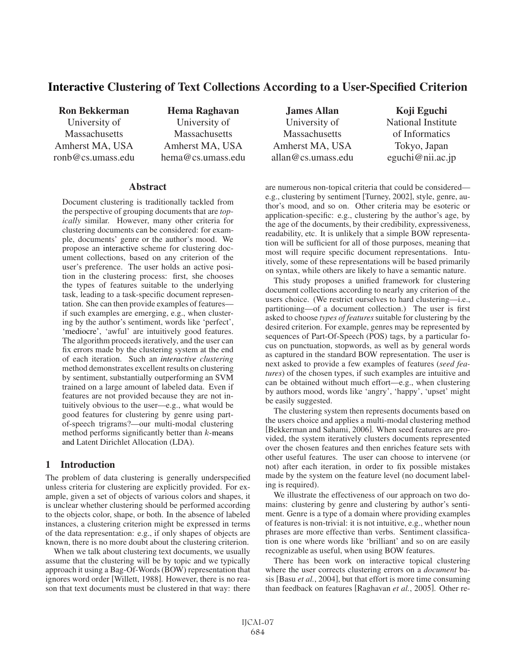# Interactive Clustering of Text Collections According to a User-Specified Criterion

Ron Bekkerman University of **Massachusetts** Amherst MA, USA ronb@cs.umass.edu

Hema Raghavan University of **Massachusetts** Amherst MA, USA hema@cs.umass.edu

#### **Abstract**

Document clustering is traditionally tackled from the perspective of grouping documents that are *topically* similar. However, many other criteria for clustering documents can be considered: for example, documents' genre or the author's mood. We propose an interactive scheme for clustering document collections, based on any criterion of the user's preference. The user holds an active position in the clustering process: first, she chooses the types of features suitable to the underlying task, leading to a task-specific document representation. She can then provide examples of features if such examples are emerging, e.g., when clustering by the author's sentiment, words like 'perfect', 'mediocre', 'awful' are intuitively good features. The algorithm proceeds iteratively, and the user can fix errors made by the clustering system at the end of each iteration. Such an *interactive clustering* method demonstrates excellent results on clustering by sentiment, substantially outperforming an SVM trained on a large amount of labeled data. Even if features are not provided because they are not intuitively obvious to the user—e.g., what would be good features for clustering by genre using partof-speech trigrams?—our multi-modal clustering method performs significantly better than  $k$ -means and Latent Dirichlet Allocation (LDA).

## 1 Introduction

The problem of data clustering is generally underspecified unless criteria for clustering are explicitly provided. For example, given a set of objects of various colors and shapes, it is unclear whether clustering should be performed according to the objects color, shape, or both. In the absence of labeled instances, a clustering criterion might be expressed in terms of the data representation: e.g., if only shapes of objects are known, there is no more doubt about the clustering criterion.

When we talk about clustering text documents, we usually assume that the clustering will be by topic and we typically approach it using a Bag-Of-Words (BOW) representation that ignores word order [Willett, 1988]. However, there is no reason that text documents must be clustered in that way: there

James Allan University of **Massachusetts** Amherst MA, USA allan@cs.umass.edu

Koji Eguchi National Institute of Informatics Tokyo, Japan eguchi@nii.ac.jp

are numerous non-topical criteria that could be considered e.g., clustering by sentiment [Turney, 2002], style, genre, author's mood, and so on. Other criteria may be esoteric or application-specific: e.g., clustering by the author's age, by the age of the documents, by their credibility, expressiveness, readability, etc. It is unlikely that a simple BOW representation will be sufficient for all of those purposes, meaning that most will require specific document representations. Intuitively, some of these representations will be based primarily on syntax, while others are likely to have a semantic nature.

This study proposes a unified framework for clustering document collections according to nearly any criterion of the users choice. (We restrict ourselves to hard clustering—i.e., partitioning—of a document collection.) The user is first asked to choose *types of features* suitable for clustering by the desired criterion. For example, genres may be represented by sequences of Part-Of-Speech (POS) tags, by a particular focus on punctuation, stopwords, as well as by general words as captured in the standard BOW representation. The user is next asked to provide a few examples of features (*seed features*) of the chosen types, if such examples are intuitive and can be obtained without much effort—e.g., when clustering by authors mood, words like 'angry', 'happy', 'upset' might be easily suggested.

The clustering system then represents documents based on the users choice and applies a multi-modal clustering method [Bekkerman and Sahami, 2006]. When seed features are provided, the system iteratively clusters documents represented over the chosen features and then enriches feature sets with other useful features. The user can choose to intervene (or not) after each iteration, in order to fix possible mistakes made by the system on the feature level (no document labeling is required).

We illustrate the effectiveness of our approach on two domains: clustering by genre and clustering by author's sentiment. Genre is a type of a domain where providing examples of features is non-trivial: it is not intuitive, e.g., whether noun phrases are more effective than verbs. Sentiment classification is one where words like 'brilliant' and so on are easily recognizable as useful, when using BOW features.

There has been work on interactive topical clustering where the user corrects clustering errors on a *document* basis [Basu *et al.*, 2004], but that effort is more time consuming than feedback on features [Raghavan *et al.*, 2005]. Other re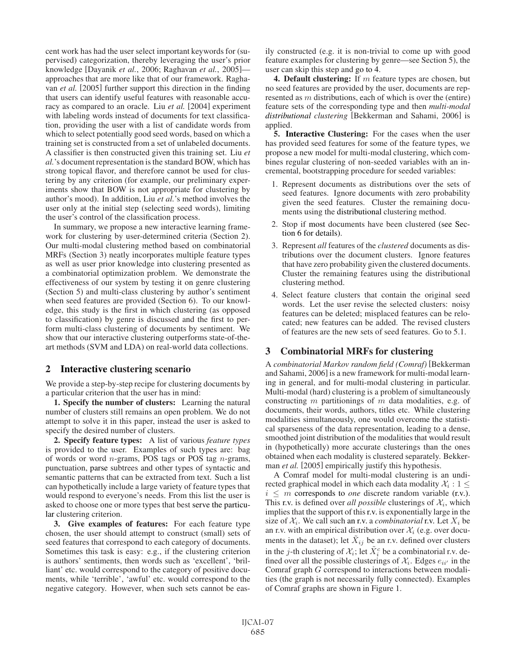cent work has had the user select important keywords for (supervised) categorization, thereby leveraging the user's prior knowledge [Dayanik *et al.*, 2006; Raghavan *et al.*, 2005] approaches that are more like that of our framework. Raghavan *et al.* [2005] further support this direction in the finding that users can identify useful features with reasonable accuracy as compared to an oracle. Liu *et al.* [2004] experiment with labeling words instead of documents for text classification, providing the user with a list of candidate words from which to select potentially good seed words, based on which a training set is constructed from a set of unlabeled documents. A classifier is then constructed given this training set. Liu *et al.*'s document representation is the standard BOW, which has strong topical flavor, and therefore cannot be used for clustering by any criterion (for example, our preliminary experiments show that BOW is not appropriate for clustering by author's mood). In addition, Liu *et al.*'s method involves the user only at the initial step (selecting seed words), limiting the user's control of the classification process.

In summary, we propose a new interactive learning framework for clustering by user-determined criteria (Section 2). Our multi-modal clustering method based on combinatorial MRFs (Section 3) neatly incorporates multiple feature types as well as user prior knowledge into clustering presented as a combinatorial optimization problem. We demonstrate the effectiveness of our system by testing it on genre clustering (Section 5) and multi-class clustering by author's sentiment when seed features are provided (Section 6). To our knowledge, this study is the first in which clustering (as opposed to classification) by genre is discussed and the first to perform multi-class clustering of documents by sentiment. We show that our interactive clustering outperforms state-of-theart methods (SVM and LDA) on real-world data collections.

## 2 Interactive clustering scenario

We provide a step-by-step recipe for clustering documents by a particular criterion that the user has in mind:

1. Specify the number of clusters: Learning the natural number of clusters still remains an open problem. We do not attempt to solve it in this paper, instead the user is asked to specify the desired number of clusters.

2. Specify feature types: A list of various *feature types* is provided to the user. Examples of such types are: bag of words or word  $n$ -grams, POS tags or POS tag  $n$ -grams, punctuation, parse subtrees and other types of syntactic and semantic patterns that can be extracted from text. Such a list can hypothetically include a large variety of feature types that would respond to everyone's needs. From this list the user is asked to choose one or more types that best serve the particular clustering criterion.

3. Give examples of features: For each feature type chosen, the user should attempt to construct (small) sets of seed features that correspond to each category of documents. Sometimes this task is easy: e.g., if the clustering criterion is authors' sentiments, then words such as 'excellent', 'brilliant' etc. would correspond to the category of positive documents, while 'terrible', 'awful' etc. would correspond to the negative category. However, when such sets cannot be easily constructed (e.g. it is non-trivial to come up with good feature examples for clustering by genre—see Section 5), the user can skip this step and go to 4.

4. Default clustering: If  $m$  feature types are chosen, but no seed features are provided by the user, documents are represented as m distributions, each of which is over the (entire) feature sets of the corresponding type and then *multi-modal distributional clustering* [Bekkerman and Sahami, 2006] is applied.

5. Interactive Clustering: For the cases when the user has provided seed features for some of the feature types, we propose a new model for multi-modal clustering, which combines regular clustering of non-seeded variables with an incremental, bootstrapping procedure for seeded variables:

- 1. Represent documents as distributions over the sets of seed features. Ignore documents with zero probability given the seed features. Cluster the remaining documents using the distributional clustering method.
- 2. Stop if most documents have been clustered (see Section 6 for details).
- 3. Represent *all* features of the *clustered* documents as distributions over the document clusters. Ignore features that have zero probability given the clustered documents. Cluster the remaining features using the distributional clustering method.
- 4. Select feature clusters that contain the original seed words. Let the user revise the selected clusters: noisy features can be deleted; misplaced features can be relocated; new features can be added. The revised clusters of features are the new sets of seed features. Go to 5.1.

## 3 Combinatorial MRFs for clustering

A *combinatorial Markov random field (Comraf)* [Bekkerman and Sahami, 2006] is a new framework for multi-modal learning in general, and for multi-modal clustering in particular. Multi-modal (hard) clustering is a problem of simultaneously constructing  $m$  partitionings of  $m$  data modalities, e.g. of documents, their words, authors, titles etc. While clustering modalities simultaneously, one would overcome the statistical sparseness of the data representation, leading to a dense, smoothed joint distribution of the modalities that would result in (hypothetically) more accurate clusterings than the ones obtained when each modality is clustered separately. Bekkerman *et al.* [2005] empirically justify this hypothesis.

A Comraf model for multi-modal clustering is an undirected graphical model in which each data modality  $\mathcal{X}_i : 1 \leq$  $i \leq m$  corresponds to *one* discrete random variable (r.v.). This r.v. is defined over *all possible* clusterings of  $\mathcal{X}_i$ , which implies that the support of this r.v. is exponentially large in the size of  $\mathcal{X}_i$ . We call such an r.v. a *combinatorial* r.v. Let  $X_i$  be an r.v. with an empirical distribution over  $\mathcal{X}_i$  (e.g. over documents in the dataset); let  $\tilde{X}_{ij}$  be an r.v. defined over clusters in the j-th clustering of  $\mathcal{X}_i$ ; let  $\tilde{X}_i^c$  be a combinatorial r.v. defined over all the negative alustarings of  $\mathcal{Y}_c$ . Edgas  $c_c$  in the fined over all the possible clusterings of  $\mathcal{X}_i$ . Edges  $e_{ii'}$  in the Comraf graph G correspond to interactions between modalities (the graph is not necessarily fully connected). Examples of Comraf graphs are shown in Figure 1.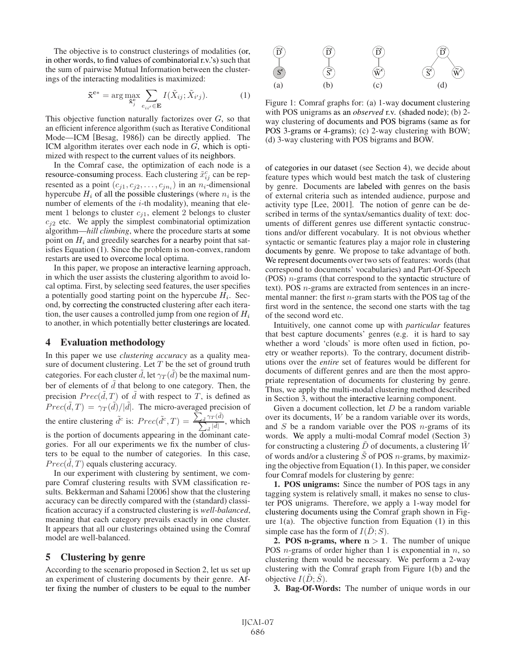The objective is to construct clusterings of modalities (or, in other words, to find values of combinatorial r.v.'s) such that the sum of pairwise Mutual Information between the clusterings of the interacting modalities is maximized:

$$
\tilde{\mathbf{x}}^{\mathbf{c}*} = \arg \max_{\tilde{\mathbf{x}}_j^{\mathbf{c}}} \sum_{e_{ii'} \in \mathbf{E}} I(\tilde{X}_{ij}; \tilde{X}_{i'j}).
$$
 (1)

This objective function naturally factorizes over  $G$ , so that an efficient inference algorithm (such as Iterative Conditional Mode—ICM [Besag, 1986]) can be directly applied. The ICM algorithm iterates over each node in G, which is optimized with respect to the current values of its neighbors.

In the Comraf case, the optimization of each node is a resource-consuming process. Each clustering  $\tilde{x}^c_j$  can be rep-<br>resented as a point  $(c_1, c_2, \ldots, c_k)$  in an  $v_j$  dimensional resented as a point  $(c_{j1}, c_{j2}, \ldots, c_{jn_i})$  in an  $n_i$ -dimensional hypercube  $H_i$  of all the possible clusterings (where  $n_i$  is the number of elements of the  $i$ -th modality), meaning that element 1 belongs to cluster  $c_{i1}$ , element 2 belongs to cluster  $c_{j2}$  etc. We apply the simplest combinatorial optimization algorithm—*hill climbing*, where the procedure starts at some point on  $H_i$  and greedily searches for a nearby point that satisfies Equation (1). Since the problem is non-convex, random restarts are used to overcome local optima.

In this paper, we propose an interactive learning approach, in which the user assists the clustering algorithm to avoid local optima. First, by selecting seed features, the user specifies a potentially good starting point on the hypercube  $H_i$ . Second, by correcting the constructed clustering after each iteration, the user causes a controlled jump from one region of  $H_i$ to another, in which potentially better clusterings are located.

#### 4 Evaluation methodology

In this paper we use *clustering accuracy* as a quality measure of document clustering. Let  $T$  be the set of ground truth categories. For each cluster  $\tilde{d}$ , let  $\gamma_T(\tilde{d})$  be the maximal num-<br>her of elements of  $\tilde{d}$  that belong to one extensory. Then, then ber of elements of  $\tilde{d}$  that belong to one category. Then, the precision  $Prec(\tilde{d}, T)$  of  $\tilde{d}$  with respect to T, is defined as  $Base(\tilde{d}, T) = \frac{2\pi(\tilde{d})}{T}$ . The migre system of precision of  $Prec(\tilde{d}, T) = \gamma_T(\tilde{d})/|\tilde{d}|$ . The micro-averaged precision of the entire clustering  $\tilde{d}^c$  is:  $Prec(\tilde{d}^c, T) = \frac{\sum_{\tilde{d}}}{\sum_{\tilde{d}} \tilde{d}^c}$  $\frac{\gamma_T(\tilde{d})}{\tilde{d}|\tilde{d}|}$ , which is the portion of documents appearing in the dominant categories. For all our experiments we fix the number of clusters to be equal to the number of categories. In this case,  $Prec(\tilde{d}, T)$  equals clustering accuracy.<br>In our experiment with clustering by

In our experiment with clustering by sentiment, we compare Comraf clustering results with SVM classification results. Bekkerman and Sahami [2006] show that the clustering accuracy can be directly compared with the (standard) classification accuracy if a constructed clustering is *well-balanced*, meaning that each category prevails exactly in one cluster. It appears that all our clusterings obtained using the Comraf model are well-balanced.

#### 5 Clustering by genre

According to the scenario proposed in Section 2, let us set up an experiment of clustering documents by their genre. After fixing the number of clusters to be equal to the number



Figure 1: Comraf graphs for: (a) 1-way document clustering with POS unigrams as an *observed* r.v. (shaded node); (b) 2 way clustering of documents and POS bigrams (same as for POS 3-grams or 4-grams); (c) 2-way clustering with BOW; (d) 3-way clustering with POS bigrams and BOW.

of categories in our dataset (see Section 4), we decide about feature types which would best match the task of clustering by genre. Documents are labeled with genres on the basis of external criteria such as intended audience, purpose and activity type [Lee, 2001]. The notion of genre can be described in terms of the syntax/semantics duality of text: documents of different genres use different syntactic constructions and/or different vocabulary. It is not obvious whether syntactic or semantic features play a major role in clustering documents by genre. We propose to take advantage of both. We represent documents over two sets of features: words (that correspond to documents' vocabularies) and Part-Of-Speech (POS)  $n$ -grams (that correspond to the syntactic structure of text). POS n-grams are extracted from sentences in an incremental manner: the first  $n$ -gram starts with the POS tag of the first word in the sentence, the second one starts with the tag of the second word etc.

Intuitively, one cannot come up with *particular* features that best capture documents' genres (e.g. it is hard to say whether a word 'clouds' is more often used in fiction, poetry or weather reports). To the contrary, document distributions over the *entire* set of features would be different for documents of different genres and are then the most appropriate representation of documents for clustering by genre. Thus, we apply the multi-modal clustering method described in Section 3, without the interactive learning component.

Given a document collection, let  $D$  be a random variable over its documents, W be a random variable over its words, and  $S$  be a random variable over the POS  $n$ -grams of its words. We apply a multi-modal Comraf model (Section 3) for constructing a clustering  $D$  of documents, a clustering  $W$ of words and/or a clustering  $\tilde{S}$  of POS *n*-grams, by maximizing the objective from Equation (1). In this paper, we consider four Comraf models for clustering by genre:

1. POS unigrams: Since the number of POS tags in any tagging system is relatively small, it makes no sense to cluster POS unigrams. Therefore, we apply a 1-way model for clustering documents using the Comraf graph shown in Figure  $1(a)$ . The objective function from Equation  $(1)$  in this simple case has the form of  $I(D; S)$ .

**2. POS n-grams, where**  $n > 1$ **. The number of unique** POS  $n$ -grams of order higher than 1 is exponential in  $n$ , so clustering them would be necessary. We perform a 2-way clustering with the Comraf graph from Figure 1(b) and the objective  $I(D; S)$ .

3. Bag-Of-Words: The number of unique words in our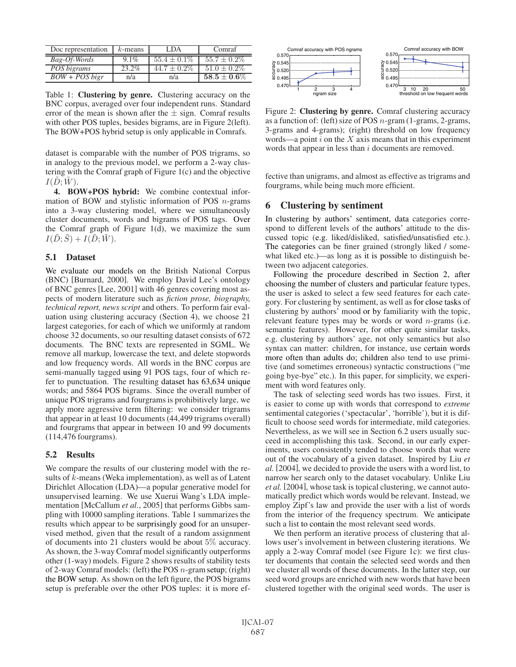| Doc representation  | $k$ -means | LDA              | Comraf            |
|---------------------|------------|------------------|-------------------|
| Bag-Of-Words        | $9.1\%$    | $55.4 \pm 0.1\%$ | $55.7 + 0.2\%$    |
| POS bigrams         | 23.2%      | $44.7 + 0.2\%$   | $51.0 \pm 0.2\%$  |
| $BOW + POS \, bigr$ | n/a        | n/a              | $58.5 \pm 0.6 \%$ |

Table 1: Clustering by genre. Clustering accuracy on the BNC corpus, averaged over four independent runs. Standard error of the mean is shown after the  $\pm$  sign. Comraf results with other POS tuples, besides bigrams, are in Figure 2(left). The BOW+POS hybrid setup is only applicable in Comrafs.

dataset is comparable with the number of POS trigrams, so in analogy to the previous model, we perform a 2-way clustering with the Comraf graph of Figure 1(c) and the objective  $I(D;W)$ .

4. BOW+POS hybrid: We combine contextual information of BOW and stylistic information of POS  $n$ -grams into a 3-way clustering model, where we simultaneously cluster documents, words and bigrams of POS tags. Over the Comraf graph of Figure 1(d), we maximize the sum  $I(\tilde{D};\tilde{S})+I(\tilde{D};\tilde{W}).$ 

#### 5.1 Dataset

We evaluate our models on the British National Corpus (BNC) [Burnard, 2000]. We employ David Lee's ontology of BNC genres [Lee, 2001] with 46 genres covering most aspects of modern literature such as *fiction prose, biography, technical report, news script* and others. To perform fair evaluation using clustering accuracy (Section 4), we choose 21 largest categories, for each of which we uniformly at random choose 32 documents, so our resulting dataset consists of 672 documents. The BNC texts are represented in SGML. We remove all markup, lowercase the text, and delete stopwords and low frequency words. All words in the BNC corpus are semi-manually tagged using 91 POS tags, four of which refer to punctuation. The resulting dataset has 63,634 unique words; and 5864 POS bigrams. Since the overall number of unique POS trigrams and fourgrams is prohibitively large, we apply more aggressive term filtering: we consider trigrams that appear in at least 10 documents (44,499 trigrams overall) and fourgrams that appear in between 10 and 99 documents (114,476 fourgrams).

## 5.2 Results

We compare the results of our clustering model with the results of k-means (Weka implementation), as well as of Latent Dirichlet Allocation (LDA)—a popular generative model for unsupervised learning. We use Xuerui Wang's LDA implementation [McCallum *et al.*, 2005] that performs Gibbs sampling with 10000 sampling iterations. Table 1 summarizes the results which appear to be surprisingly good for an unsupervised method, given that the result of a random assignment of documents into 21 clusters would be about 5% accuracy. As shown, the 3-way Comraf model significantly outperforms other (1-way) models. Figure 2 shows results of stability tests of 2-way Comraf models: (left) the POS  $n$ -gram setup; (right) the BOW setup. As shown on the left figure, the POS bigrams setup is preferable over the other POS tuples: it is more ef-



Figure 2: Clustering by genre. Comraf clustering accuracy as a function of: (left) size of POS n-gram (1-grams, 2-grams, 3-grams and 4-grams); (right) threshold on low frequency words—a point  $i$  on the  $X$  axis means that in this experiment words that appear in less than i documents are removed.

fective than unigrams, and almost as effective as trigrams and fourgrams, while being much more efficient.

# 6 Clustering by sentiment

In clustering by authors' sentiment, data categories correspond to different levels of the authors' attitude to the discussed topic (e.g. liked/disliked, satisfied/unsatisfied etc.). The categories can be finer grained (strongly liked / somewhat liked etc.)—as long as it is possible to distinguish between two adjacent categories.

Following the procedure described in Section 2, after choosing the number of clusters and particular feature types, the user is asked to select a few seed features for each category. For clustering by sentiment, as well as for close tasks of clustering by authors' mood or by familiarity with the topic, relevant feature types may be words or word  $n$ -grams (i.e. semantic features). However, for other quite similar tasks, e.g. clustering by authors' age, not only semantics but also syntax can matter: children, for instance, use certain words more often than adults do; children also tend to use primitive (and sometimes erroneous) syntactic constructions ("me going bye-bye" etc.). In this paper, for simplicity, we experiment with word features only.

The task of selecting seed words has two issues. First, it is easier to come up with words that correspond to *extreme* sentimental categories ('spectacular', 'horrible'), but it is difficult to choose seed words for intermediate, mild categories. Nevertheless, as we will see in Section 6.2 users usually succeed in accomplishing this task. Second, in our early experiments, users consistently tended to choose words that were out of the vocabulary of a given dataset. Inspired by Liu *et al.* [2004], we decided to provide the users with a word list, to narrow her search only to the dataset vocabulary. Unlike Liu *et al.* [2004], whose task is topical clustering, we cannot automatically predict which words would be relevant. Instead, we employ Zipf's law and provide the user with a list of words from the interior of the frequency spectrum. We anticipate such a list to contain the most relevant seed words.

We then perform an iterative process of clustering that allows user's involvement in between clustering iterations. We apply a 2-way Comraf model (see Figure 1c): we first cluster documents that contain the selected seed words and then we cluster all words of these documents. In the latter step, our seed word groups are enriched with new words that have been clustered together with the original seed words. The user is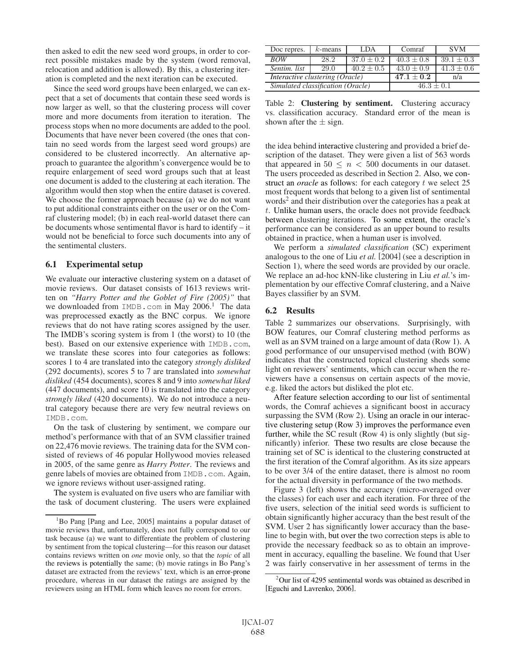then asked to edit the new seed word groups, in order to correct possible mistakes made by the system (word removal, relocation and addition is allowed). By this, a clustering iteration is completed and the next iteration can be executed.

Since the seed word groups have been enlarged, we can expect that a set of documents that contain these seed words is now larger as well, so that the clustering process will cover more and more documents from iteration to iteration. The process stops when no more documents are added to the pool. Documents that have never been covered (the ones that contain no seed words from the largest seed word groups) are considered to be clustered incorrectly. An alternative approach to guarantee the algorithm's convergence would be to require enlargement of seed word groups such that at least one document is added to the clustering at each iteration. The algorithm would then stop when the entire dataset is covered. We choose the former approach because (a) we do not want to put additional constraints either on the user or on the Comraf clustering model; (b) in each real-world dataset there can be documents whose sentimental flavor is hard to identify – it would not be beneficial to force such documents into any of the sentimental clusters.

## 6.1 Experimental setup

We evaluate our interactive clustering system on a dataset of movie reviews. Our dataset consists of 1613 reviews written on *"Harry Potter and the Goblet of Fire (2005)"* that we downloaded from  $IMDB$ .com in May 2006.<sup>1</sup> The data was preprocessed exactly as the BNC corpus. We ignore reviews that do not have rating scores assigned by the user. The IMDB's scoring system is from 1 (the worst) to 10 (the best). Based on our extensive experience with IMDB.com, we translate these scores into four categories as follows: scores 1 to 4 are translated into the category *strongly disliked* (292 documents), scores 5 to 7 are translated into *somewhat disliked* (454 documents), scores 8 and 9 into *somewhat liked* (447 documents), and score 10 is translated into the category *strongly liked* (420 documents). We do not introduce a neutral category because there are very few neutral reviews on IMDB.com.

On the task of clustering by sentiment, we compare our method's performance with that of an SVM classifier trained on 22,476 movie reviews. The training data for the SVM consisted of reviews of 46 popular Hollywood movies released in 2005, of the same genre as *Harry Potter*. The reviews and genre labels of movies are obtained from IMDB.com. Again, we ignore reviews without user-assigned rating.

The system is evaluated on five users who are familiar with the task of document clustering. The users were explained

| Doc repres.                            | $k$ -means | LDA            | Comraf         | <b>SVM</b>     |
|----------------------------------------|------------|----------------|----------------|----------------|
| <b>BOW</b>                             | 28.2       | $37.0 + 0.2$   | $40.3 + 0.8$   | $39.1 \pm 0.3$ |
| Sentim. list                           | 29.0       | $40.2 \pm 0.5$ | $43.0 \pm 0.9$ | $41.3 \pm 0.6$ |
| <b>Interactive clustering (Oracle)</b> |            |                | $47.1 + 0.2$   | n/a            |
| Simulated classification (Oracle)      |            |                | $46.3 + 0.1$   |                |

Table 2: Clustering by sentiment. Clustering accuracy vs. classification accuracy. Standard error of the mean is shown after the  $\pm$  sign.

the idea behind interactive clustering and provided a brief description of the dataset. They were given a list of 563 words that appeared in  $50 \leq n \leq 500$  documents in our dataset. The users proceeded as described in Section 2. Also, we construct an *oracle* as follows: for each category t we select 25 most frequent words that belong to a given list of sentimental words<sup>2</sup> and their distribution over the categories has a peak at t. Unlike human users, the oracle does not provide feedback between clustering iterations. To some extent, the oracle's performance can be considered as an upper bound to results obtained in practice, when a human user is involved.

We perform a *simulated classification* (SC) experiment analogous to the one of Liu *et al.* [2004] (see a description in Section 1), where the seed words are provided by our oracle. We replace an ad-hoc kNN-like clustering in Liu *et al.*'s implementation by our effective Comraf clustering, and a Naive Bayes classifier by an SVM.

## 6.2 Results

Table 2 summarizes our observations. Surprisingly, with BOW features, our Comraf clustering method performs as well as an SVM trained on a large amount of data (Row 1). A good performance of our unsupervised method (with BOW) indicates that the constructed topical clustering sheds some light on reviewers' sentiments, which can occur when the reviewers have a consensus on certain aspects of the movie, e.g. liked the actors but disliked the plot etc.

After feature selection according to our list of sentimental words, the Comraf achieves a significant boost in accuracy surpassing the SVM (Row 2). Using an oracle in our interactive clustering setup (Row 3) improves the performance even further, while the SC result (Row 4) is only slightly (but significantly) inferior. These two results are close because the training set of SC is identical to the clustering constructed at the first iteration of the Comraf algorithm. As its size appears to be over 3/4 of the entire dataset, there is almost no room for the actual diversity in performance of the two methods.

Figure 3 (left) shows the accuracy (micro-averaged over the classes) for each user and each iteration. For three of the five users, selection of the initial seed words is sufficient to obtain significantly higher accuracy than the best result of the SVM. User 2 has significantly lower accuracy than the baseline to begin with, but over the two correction steps is able to provide the necessary feedback so as to obtain an improvement in accuracy, equalling the baseline. We found that User 2 was fairly conservative in her assessment of terms in the

<sup>&</sup>lt;sup>1</sup>Bo Pang [Pang and Lee, 2005] maintains a popular dataset of movie reviews that, unfortunately, does not fully correspond to our task because (a) we want to differentiate the problem of clustering by sentiment from the topical clustering—for this reason our dataset contains reviews written on *one* movie only, so that the *topic* of all the reviews is potentially the same; (b) movie ratings in Bo Pang's dataset are extracted from the reviews' text, which is an error-prone procedure, whereas in our dataset the ratings are assigned by the reviewers using an HTML form which leaves no room for errors.

<sup>2</sup> Our list of 4295 sentimental words was obtained as described in [Eguchi and Lavrenko, 2006].